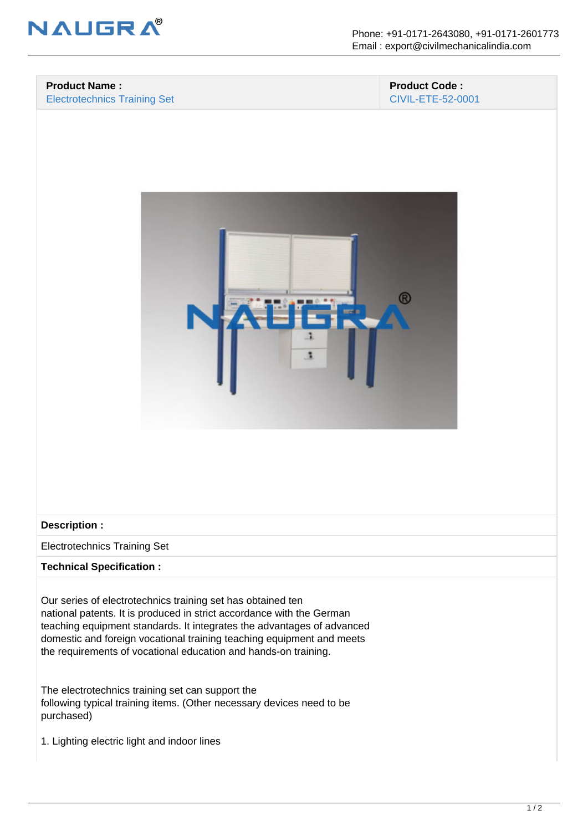

### **Product Name :** Electrotechnics Training Set

### **Product Code :** CIVIL-ETE-52-0001



### **Description :**

Electrotechnics Training Set

# **Technical Specification :**

Our series of electrotechnics training set has obtained ten national patents. It is produced in strict accordance with the German teaching equipment standards. It integrates the advantages of advanced domestic and foreign vocational training teaching equipment and meets the requirements of vocational education and hands-on training.

The electrotechnics training set can support the following typical training items. (Other necessary devices need to be purchased)

1. Lighting electric light and indoor lines